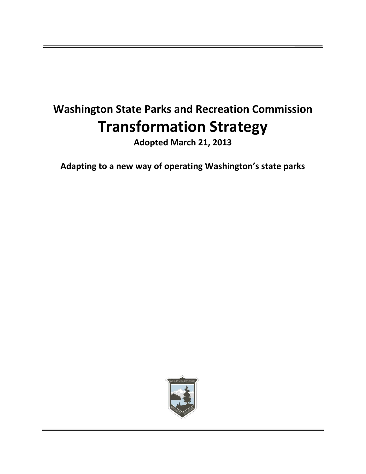# **Washington State Parks and Recreation Commission Transformation Strategy**

**Adopted March 21, 2013**

**Adapting to a new way of operating Washington's state parks**

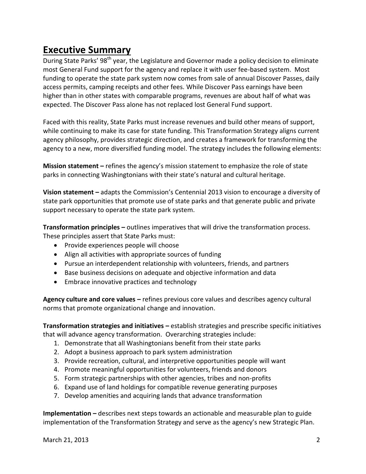## **Executive Summary**

During State Parks' 98<sup>th</sup> year, the Legislature and Governor made a policy decision to eliminate most General Fund support for the agency and replace it with user fee-based system. Most funding to operate the state park system now comes from sale of annual Discover Passes, daily access permits, camping receipts and other fees. While Discover Pass earnings have been higher than in other states with comparable programs, revenues are about half of what was expected. The Discover Pass alone has not replaced lost General Fund support.

Faced with this reality, State Parks must increase revenues and build other means of support, while continuing to make its case for state funding. This Transformation Strategy aligns current agency philosophy, provides strategic direction, and creates a framework for transforming the agency to a new, more diversified funding model. The strategy includes the following elements:

**Mission statement –** refines the agency's mission statement to emphasize the role of state parks in connecting Washingtonians with their state's natural and cultural heritage.

**Vision statement –** adapts the Commission's Centennial 2013 vision to encourage a diversity of state park opportunities that promote use of state parks and that generate public and private support necessary to operate the state park system.

**Transformation principles –** outlines imperatives that will drive the transformation process. These principles assert that State Parks must:

- Provide experiences people will choose
- Align all activities with appropriate sources of funding
- Pursue an interdependent relationship with volunteers, friends, and partners
- Base business decisions on adequate and objective information and data
- Embrace innovative practices and technology

**Agency culture and core values –** refines previous core values and describes agency cultural norms that promote organizational change and innovation.

**Transformation strategies and initiatives –** establish strategies and prescribe specific initiatives that will advance agency transformation. Overarching strategies include:

- 1. Demonstrate that all Washingtonians benefit from their state parks
- 2. Adopt a business approach to park system administration
- 3. Provide recreation, cultural, and interpretive opportunities people will want
- 4. Promote meaningful opportunities for volunteers, friends and donors
- 5. Form strategic partnerships with other agencies, tribes and non-profits
- 6. Expand use of land holdings for compatible revenue generating purposes
- 7. Develop amenities and acquiring lands that advance transformation

**Implementation –** describes next steps towards an actionable and measurable plan to guide implementation of the Transformation Strategy and serve as the agency's new Strategic Plan.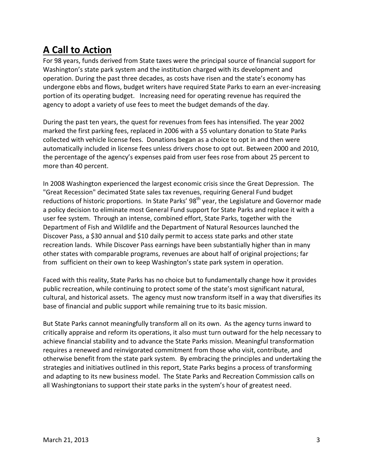# **A Call to Action**

For 98 years, funds derived from State taxes were the principal source of financial support for Washington's state park system and the institution charged with its development and operation. During the past three decades, as costs have risen and the state's economy has undergone ebbs and flows, budget writers have required State Parks to earn an ever-increasing portion of its operating budget. Increasing need for operating revenue has required the agency to adopt a variety of use fees to meet the budget demands of the day.

During the past ten years, the quest for revenues from fees has intensified. The year 2002 marked the first parking fees, replaced in 2006 with a \$5 voluntary donation to State Parks collected with vehicle license fees. Donations began as a choice to opt in and then were automatically included in license fees unless drivers chose to opt out. Between 2000 and 2010, the percentage of the agency's expenses paid from user fees rose from about 25 percent to more than 40 percent.

In 2008 Washington experienced the largest economic crisis since the Great Depression. The "Great Recession" decimated State sales tax revenues, requiring General Fund budget reductions of historic proportions. In State Parks' 98<sup>th</sup> year, the Legislature and Governor made a policy decision to eliminate most General Fund support for State Parks and replace it with a user fee system. Through an intense, combined effort, State Parks, together with the Department of Fish and Wildlife and the Department of Natural Resources launched the Discover Pass, a \$30 annual and \$10 daily permit to access state parks and other state recreation lands. While Discover Pass earnings have been substantially higher than in many other states with comparable programs, revenues are about half of original projections; far from sufficient on their own to keep Washington's state park system in operation.

Faced with this reality, State Parks has no choice but to fundamentally change how it provides public recreation, while continuing to protect some of the state's most significant natural, cultural, and historical assets. The agency must now transform itself in a way that diversifies its base of financial and public support while remaining true to its basic mission.

But State Parks cannot meaningfully transform all on its own. As the agency turns inward to critically appraise and reform its operations, it also must turn outward for the help necessary to achieve financial stability and to advance the State Parks mission. Meaningful transformation requires a renewed and reinvigorated commitment from those who visit, contribute, and otherwise benefit from the state park system. By embracing the principles and undertaking the strategies and initiatives outlined in this report, State Parks begins a process of transforming and adapting to its new business model. The State Parks and Recreation Commission calls on all Washingtonians to support their state parks in the system's hour of greatest need.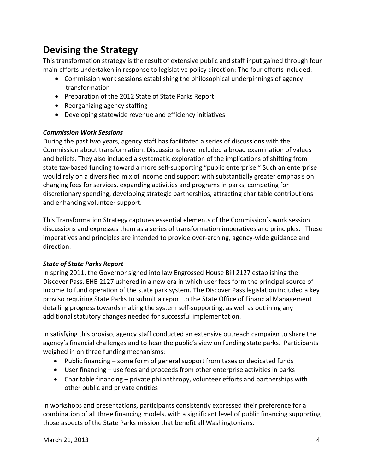# **Devising the Strategy**

This transformation strategy is the result of extensive public and staff input gained through four main efforts undertaken in response to legislative policy direction: The four efforts included:

- Commission work sessions establishing the philosophical underpinnings of agency transformation
- Preparation of the 2012 State of State Parks Report
- Reorganizing agency staffing
- Developing statewide revenue and efficiency initiatives

#### *Commission Work Sessions*

During the past two years, agency staff has facilitated a series of discussions with the Commission about transformation. Discussions have included a broad examination of values and beliefs. They also included a systematic exploration of the implications of shifting from state tax-based funding toward a more self-supporting "public enterprise." Such an enterprise would rely on a diversified mix of income and support with substantially greater emphasis on charging fees for services, expanding activities and programs in parks, competing for discretionary spending, developing strategic partnerships, attracting charitable contributions and enhancing volunteer support.

This Transformation Strategy captures essential elements of the Commission's work session discussions and expresses them as a series of transformation imperatives and principles. These imperatives and principles are intended to provide over-arching, agency-wide guidance and direction.

#### *State of State Parks Report*

In spring 2011, the Governor signed into law Engrossed House Bill 2127 establishing the Discover Pass. EHB 2127 ushered in a new era in which user fees form the principal source of income to fund operation of the state park system. The Discover Pass legislation included a key proviso requiring State Parks to submit a report to the State Office of Financial Management detailing progress towards making the system self-supporting, as well as outlining any additional statutory changes needed for successful implementation.

In satisfying this proviso, agency staff conducted an extensive outreach campaign to share the agency's financial challenges and to hear the public's view on funding state parks. Participants weighed in on three funding mechanisms:

- Public financing some form of general support from taxes or dedicated funds
- User financing use fees and proceeds from other enterprise activities in parks
- Charitable financing private philanthropy, volunteer efforts and partnerships with other public and private entities

In workshops and presentations, participants consistently expressed their preference for a combination of all three financing models, with a significant level of public financing supporting those aspects of the State Parks mission that benefit all Washingtonians.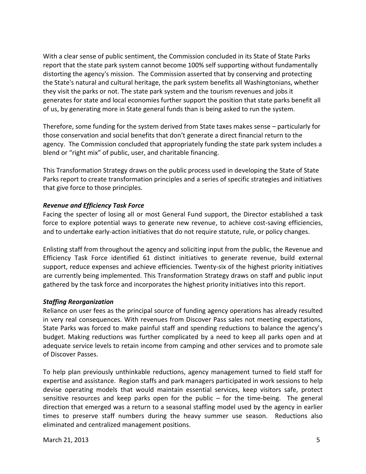With a clear sense of public sentiment, the Commission concluded in its State of State Parks report that the state park system cannot become 100% self supporting without fundamentally distorting the agency's mission. The Commission asserted that by conserving and protecting the State's natural and cultural heritage, the park system benefits all Washingtonians, whether they visit the parks or not. The state park system and the tourism revenues and jobs it generates for state and local economies further support the position that state parks benefit all of us, by generating more in State general funds than is being asked to run the system.

Therefore, some funding for the system derived from State taxes makes sense – particularly for those conservation and social benefits that don't generate a direct financial return to the agency. The Commission concluded that appropriately funding the state park system includes a blend or "right mix" of public, user, and charitable financing.

This Transformation Strategy draws on the public process used in developing the State of State Parks report to create transformation principles and a series of specific strategies and initiatives that give force to those principles.

#### *Revenue and Efficiency Task Force*

Facing the specter of losing all or most General Fund support, the Director established a task force to explore potential ways to generate new revenue, to achieve cost-saving efficiencies, and to undertake early-action initiatives that do not require statute, rule, or policy changes.

Enlisting staff from throughout the agency and soliciting input from the public, the Revenue and Efficiency Task Force identified 61 distinct initiatives to generate revenue, build external support, reduce expenses and achieve efficiencies. Twenty-six of the highest priority initiatives are currently being implemented. This Transformation Strategy draws on staff and public input gathered by the task force and incorporates the highest priority initiatives into this report.

#### *Staffing Reorganization*

Reliance on user fees as the principal source of funding agency operations has already resulted in very real consequences. With revenues from Discover Pass sales not meeting expectations, State Parks was forced to make painful staff and spending reductions to balance the agency's budget. Making reductions was further complicated by a need to keep all parks open and at adequate service levels to retain income from camping and other services and to promote sale of Discover Passes.

To help plan previously unthinkable reductions, agency management turned to field staff for expertise and assistance. Region staffs and park managers participated in work sessions to help devise operating models that would maintain essential services, keep visitors safe, protect sensitive resources and keep parks open for the public – for the time-being. The general direction that emerged was a return to a seasonal staffing model used by the agency in earlier times to preserve staff numbers during the heavy summer use season. Reductions also eliminated and centralized management positions.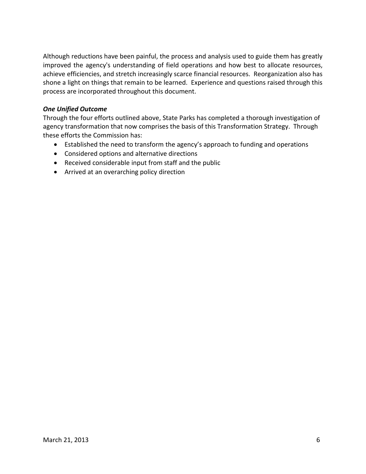Although reductions have been painful, the process and analysis used to guide them has greatly improved the agency's understanding of field operations and how best to allocate resources, achieve efficiencies, and stretch increasingly scarce financial resources. Reorganization also has shone a light on things that remain to be learned. Experience and questions raised through this process are incorporated throughout this document.

#### *One Unified Outcome*

Through the four efforts outlined above, State Parks has completed a thorough investigation of agency transformation that now comprises the basis of this Transformation Strategy. Through these efforts the Commission has:

- Established the need to transform the agency's approach to funding and operations
- Considered options and alternative directions
- Received considerable input from staff and the public
- Arrived at an overarching policy direction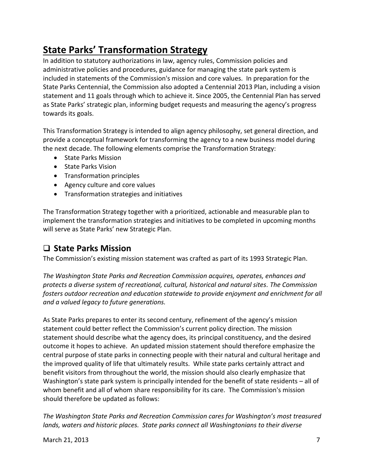# **State Parks' Transformation Strategy**

In addition to statutory authorizations in law, agency rules, Commission policies and administrative policies and procedures, guidance for managing the state park system is included in statements of the Commission's mission and core values. In preparation for the State Parks Centennial, the Commission also adopted a Centennial 2013 Plan, including a vision statement and 11 goals through which to achieve it. Since 2005, the Centennial Plan has served as State Parks' strategic plan, informing budget requests and measuring the agency's progress towards its goals.

This Transformation Strategy is intended to align agency philosophy, set general direction, and provide a conceptual framework for transforming the agency to a new business model during the next decade. The following elements comprise the Transformation Strategy:

- State Parks Mission
- State Parks Vision
- Transformation principles
- Agency culture and core values
- Transformation strategies and initiatives

The Transformation Strategy together with a prioritized, actionable and measurable plan to implement the transformation strategies and initiatives to be completed in upcoming months will serve as State Parks' new Strategic Plan.

### **State Parks Mission**

The Commission's existing mission statement was crafted as part of its 1993 Strategic Plan.

*The Washington State Parks and Recreation Commission acquires, operates, enhances and protects a diverse system of recreational, cultural, historical and natural sites. The Commission fosters outdoor recreation and education statewide to provide enjoyment and enrichment for all and a valued legacy to future generations.*

As State Parks prepares to enter its second century, refinement of the agency's mission statement could better reflect the Commission's current policy direction. The mission statement should describe what the agency does, its principal constituency, and the desired outcome it hopes to achieve. An updated mission statement should therefore emphasize the central purpose of state parks in connecting people with their natural and cultural heritage and the improved quality of life that ultimately results. While state parks certainly attract and benefit visitors from throughout the world, the mission should also clearly emphasize that Washington's state park system is principally intended for the benefit of state residents – all of whom benefit and all of whom share responsibility for its care. The Commission's mission should therefore be updated as follows:

*The Washington State Parks and Recreation Commission cares for Washington's most treasured lands, waters and historic places. State parks connect all Washingtonians to their diverse*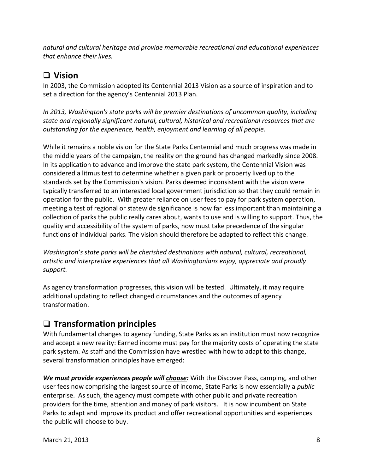*natural and cultural heritage and provide memorable recreational and educational experiences that enhance their lives.*

### **Vision**

In 2003, the Commission adopted its Centennial 2013 Vision as a source of inspiration and to set a direction for the agency's Centennial 2013 Plan.

*In 2013, Washington's state parks will be premier destinations of uncommon quality, including state and regionally significant natural, cultural, historical and recreational resources that are outstanding for the experience, health, enjoyment and learning of all people.*

While it remains a noble vision for the State Parks Centennial and much progress was made in the middle years of the campaign, the reality on the ground has changed markedly since 2008. In its application to advance and improve the state park system, the Centennial Vision was considered a litmus test to determine whether a given park or property lived up to the standards set by the Commission's vision. Parks deemed inconsistent with the vision were typically transferred to an interested local government jurisdiction so that they could remain in operation for the public. With greater reliance on user fees to pay for park system operation, meeting a test of regional or statewide significance is now far less important than maintaining a collection of parks the public really cares about, wants to use and is willing to support. Thus, the quality and accessibility of the system of parks, now must take precedence of the singular functions of individual parks. The vision should therefore be adapted to reflect this change.

*Washington's state parks will be cherished destinations with natural, cultural, recreational, artistic and interpretive experiences that all Washingtonians enjoy, appreciate and proudly support.*

As agency transformation progresses, this vision will be tested. Ultimately, it may require additional updating to reflect changed circumstances and the outcomes of agency transformation.

### **Transformation principles**

With fundamental changes to agency funding, State Parks as an institution must now recognize and accept a new reality: Earned income must pay for the majority costs of operating the state park system. As staff and the Commission have wrestled with how to adapt to this change, several transformation principles have emerged:

*We must provide experiences people will choose:* With the Discover Pass, camping, and other user fees now comprising the largest source of income, State Parks is now essentially a *public* enterprise. As such, the agency must compete with other public and private recreation providers for the time, attention and money of park visitors. It is now incumbent on State Parks to adapt and improve its product and offer recreational opportunities and experiences the public will choose to buy.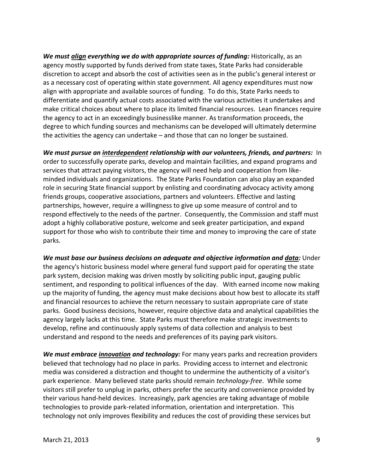*We must align everything we do with appropriate sources of funding:* Historically, as an agency mostly supported by funds derived from state taxes, State Parks had considerable discretion to accept and absorb the cost of activities seen as in the public's general interest or as a necessary cost of operating within state government. All agency expenditures must now align with appropriate and available sources of funding. To do this, State Parks needs to differentiate and quantify actual costs associated with the various activities it undertakes and make critical choices about where to place its limited financial resources. Lean finances require the agency to act in an exceedingly businesslike manner. As transformation proceeds, the degree to which funding sources and mechanisms can be developed will ultimately determine the activities the agency can undertake – and those that can no longer be sustained.

*We must pursue an interdependent relationship with our volunteers, friends, and partners:* In order to successfully operate parks, develop and maintain facilities, and expand programs and services that attract paying visitors, the agency will need help and cooperation from likeminded individuals and organizations. The State Parks Foundation can also play an expanded role in securing State financial support by enlisting and coordinating advocacy activity among friends groups, cooperative associations, partners and volunteers. Effective and lasting partnerships, however, require a willingness to give up some measure of control and to respond effectively to the needs of the partner. Consequently, the Commission and staff must adopt a highly collaborative posture, welcome and seek greater participation, and expand support for those who wish to contribute their time and money to improving the care of state parks.

*We must base our business decisions on adequate and objective information and data:* Under the agency's historic business model where general fund support paid for operating the state park system, decision making was driven mostly by soliciting public input, gauging public sentiment, and responding to political influences of the day. With earned income now making up the majority of funding, the agency must make decisions about how best to allocate its staff and financial resources to achieve the return necessary to sustain appropriate care of state parks. Good business decisions, however, require objective data and analytical capabilities the agency largely lacks at this time. State Parks must therefore make strategic investments to develop, refine and continuously apply systems of data collection and analysis to best understand and respond to the needs and preferences of its paying park visitors.

*We must embrace innovation and technology:* For many years parks and recreation providers believed that technology had no place in parks. Providing access to internet and electronic media was considered a distraction and thought to undermine the authenticity of a visitor's park experience. Many believed state parks should remain *technology-free*. While some visitors still prefer to unplug in parks, others prefer the security and convenience provided by their various hand-held devices. Increasingly, park agencies are taking advantage of mobile technologies to provide park-related information, orientation and interpretation. This technology not only improves flexibility and reduces the cost of providing these services but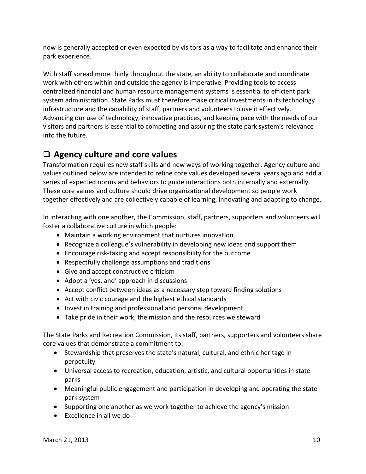now is generally accepted or even expected by visitors as a way to facilitate and enhance their park experience.

With staff spread more thinly throughout the state, an ability to collaborate and coordinate work with others within and outside the agency is imperative. Providing tools to access centralized financial and human resource management systems is essential to efficient park system administration. State Parks must therefore make critical investments in its technology infrastructure and the capability of staff, partners and volunteers to use it effectively. Advancing our use of technology, innovative practices, and keeping pace with the needs of our visitors and partners is essential to competing and assuring the state park system's relevance into the future.

### **Agency culture and core values**

Transformation requires new staff skills and new ways of working together. Agency culture and values outlined below are intended to refine core values developed several years ago and add a series of expected norms and behaviors to guide interactions both internally and externally. These core values and culture should drive organizational development so people work together effectively and are collectively capable of learning, innovating and adapting to change.

In interacting with one another, the Commission, staff, partners, supporters and volunteers will foster a collaborative culture in which people:

- Maintain a working environment that nurtures innovation
- Recognize a colleague's vulnerability in developing new ideas and support them
- Encourage risk-taking and accept responsibility for the outcome
- Respectfully challenge assumptions and traditions
- Give and accept constructive criticism
- Adopt a 'yes, and' approach in discussions
- Accept conflict between ideas as a necessary step toward finding solutions
- Act with civic courage and the highest ethical standards
- Invest in training and professional and personal development
- Take pride in their work, the mission and the resources we steward

The State Parks and Recreation Commission, its staff, partners, supporters and volunteers share core values that demonstrate a commitment to:

- Stewardship that preserves the state's natural, cultural, and ethnic heritage in perpetuity
- Universal access to recreation, education, artistic, and cultural opportunities in state parks
- Meaningful public engagement and participation in developing and operating the state park system
- Supporting one another as we work together to achieve the agency's mission
- Excellence in all we do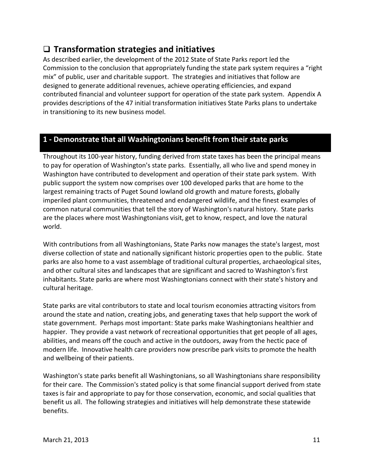### **Transformation strategies and initiatives**

As described earlier, the development of the 2012 State of State Parks report led the Commission to the conclusion that appropriately funding the state park system requires a "right mix" of public, user and charitable support. The strategies and initiatives that follow are designed to generate additional revenues, achieve operating efficiencies, and expand contributed financial and volunteer support for operation of the state park system. Appendix A provides descriptions of the 47 initial transformation initiatives State Parks plans to undertake in transitioning to its new business model.

### **1 - Demonstrate that all Washingtonians benefit from their state parks**

Throughout its 100-year history, funding derived from state taxes has been the principal means to pay for operation of Washington's state parks. Essentially, all who live and spend money in Washington have contributed to development and operation of their state park system. With public support the system now comprises over 100 developed parks that are home to the largest remaining tracts of Puget Sound lowland old growth and mature forests, globally imperiled plant communities, threatened and endangered wildlife, and the finest examples of common natural communities that tell the story of Washington's natural history. State parks are the places where most Washingtonians visit, get to know, respect, and love the natural world.

With contributions from all Washingtonians, State Parks now manages the state's largest, most diverse collection of state and nationally significant historic properties open to the public. State parks are also home to a vast assemblage of traditional cultural properties, archaeological sites, and other cultural sites and landscapes that are significant and sacred to Washington's first inhabitants. State parks are where most Washingtonians connect with their state's history and cultural heritage.

State parks are vital contributors to state and local tourism economies attracting visitors from around the state and nation, creating jobs, and generating taxes that help support the work of state government. Perhaps most important: State parks make Washingtonians healthier and happier. They provide a vast network of recreational opportunities that get people of all ages, abilities, and means off the couch and active in the outdoors, away from the hectic pace of modern life. Innovative health care providers now prescribe park visits to promote the health and wellbeing of their patients.

Washington's state parks benefit all Washingtonians, so all Washingtonians share responsibility for their care. The Commission's stated policy is that some financial support derived from state taxes is fair and appropriate to pay for those conservation, economic, and social qualities that benefit us all. The following strategies and initiatives will help demonstrate these statewide benefits.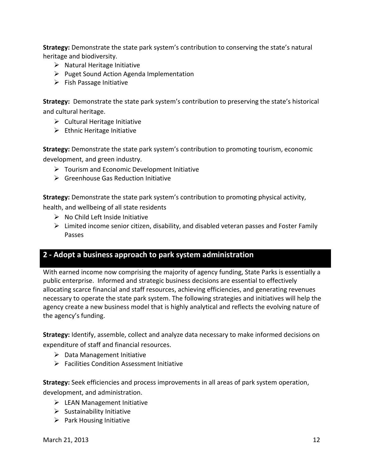**Strategy:** Demonstrate the state park system's contribution to conserving the state's natural heritage and biodiversity.

- $\triangleright$  Natural Heritage Initiative
- $\triangleright$  Puget Sound Action Agenda Implementation
- $\triangleright$  Fish Passage Initiative

**Strategy:** Demonstrate the state park system's contribution to preserving the state's historical and cultural heritage.

- $\triangleright$  Cultural Heritage Initiative
- $\triangleright$  Ethnic Heritage Initiative

**Strategy:** Demonstrate the state park system's contribution to promoting tourism, economic development, and green industry.

- $\triangleright$  Tourism and Economic Development Initiative
- $\triangleright$  Greenhouse Gas Reduction Initiative

**Strategy:** Demonstrate the state park system's contribution to promoting physical activity,

health, and wellbeing of all state residents

- $\triangleright$  No Child Left Inside Initiative
- $\triangleright$  Limited income senior citizen, disability, and disabled veteran passes and Foster Family Passes

### **2 - Adopt a business approach to park system administration**

With earned income now comprising the majority of agency funding, State Parks is essentially a public enterprise. Informed and strategic business decisions are essential to effectively allocating scarce financial and staff resources, achieving efficiencies, and generating revenues necessary to operate the state park system. The following strategies and initiatives will help the agency create a new business model that is highly analytical and reflects the evolving nature of the agency's funding.

**Strategy:** Identify, assemble, collect and analyze data necessary to make informed decisions on expenditure of staff and financial resources.

- $\triangleright$  Data Management Initiative
- Facilities Condition Assessment Initiative

**Strategy:** Seek efficiencies and process improvements in all areas of park system operation, development, and administration.

- $\triangleright$  LEAN Management Initiative
- $\triangleright$  Sustainability Initiative
- $\triangleright$  Park Housing Initiative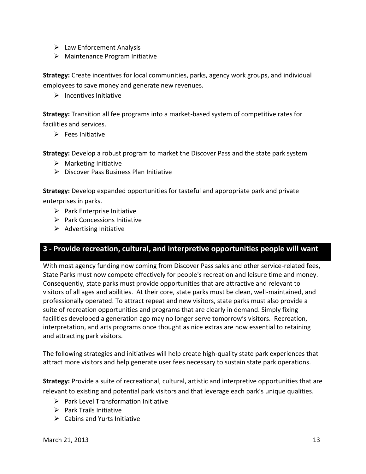- $\triangleright$  Law Enforcement Analysis
- $\triangleright$  Maintenance Program Initiative

**Strategy:** Create incentives for local communities, parks, agency work groups, and individual employees to save money and generate new revenues.

 $\triangleright$  Incentives Initiative

**Strategy:** Transition all fee programs into a market-based system of competitive rates for facilities and services.

 $\triangleright$  Fees Initiative

**Strategy:** Develop a robust program to market the Discover Pass and the state park system

- $\triangleright$  Marketing Initiative
- $\triangleright$  Discover Pass Business Plan Initiative

**Strategy:** Develop expanded opportunities for tasteful and appropriate park and private enterprises in parks.

- $\triangleright$  Park Enterprise Initiative
- $\triangleright$  Park Concessions Initiative
- $\triangleright$  Advertising Initiative

#### **3 - Provide recreation, cultural, and interpretive opportunities people will want**

With most agency funding now coming from Discover Pass sales and other service-related fees, State Parks must now compete effectively for people's recreation and leisure time and money. Consequently, state parks must provide opportunities that are attractive and relevant to visitors of all ages and abilities. At their core, state parks must be clean, well-maintained, and professionally operated. To attract repeat and new visitors, state parks must also provide a suite of recreation opportunities and programs that are clearly in demand. Simply fixing facilities developed a generation ago may no longer serve tomorrow's visitors. Recreation, interpretation, and arts programs once thought as nice extras are now essential to retaining and attracting park visitors.

The following strategies and initiatives will help create high-quality state park experiences that attract more visitors and help generate user fees necessary to sustain state park operations.

**Strategy:** Provide a suite of recreational, cultural, artistic and interpretive opportunities that are relevant to existing and potential park visitors and that leverage each park's unique qualities.

- $\triangleright$  Park Level Transformation Initiative
- $\triangleright$  Park Trails Initiative
- $\triangleright$  Cabins and Yurts Initiative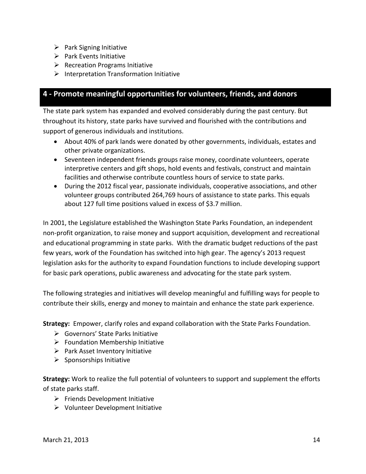- $\triangleright$  Park Signing Initiative
- $\triangleright$  Park Events Initiative
- $\triangleright$  Recreation Programs Initiative
- $\triangleright$  Interpretation Transformation Initiative

### **4 - Promote meaningful opportunities for volunteers, friends, and donors**

The state park system has expanded and evolved considerably during the past century. But throughout its history, state parks have survived and flourished with the contributions and support of generous individuals and institutions.

- About 40% of park lands were donated by other governments, individuals, estates and other private organizations.
- Seventeen independent friends groups raise money, coordinate volunteers, operate interpretive centers and gift shops, hold events and festivals, construct and maintain facilities and otherwise contribute countless hours of service to state parks.
- During the 2012 fiscal year, passionate individuals, cooperative associations, and other volunteer groups contributed 264,769 hours of assistance to state parks. This equals about 127 full time positions valued in excess of \$3.7 million.

In 2001, the Legislature established the Washington State Parks Foundation, an independent non-profit organization, to raise money and support acquisition, development and recreational and educational programming in state parks. With the dramatic budget reductions of the past few years, work of the Foundation has switched into high gear. The agency's 2013 request legislation asks for the authority to expand Foundation functions to include developing support for basic park operations, public awareness and advocating for the state park system.

The following strategies and initiatives will develop meaningful and fulfilling ways for people to contribute their skills, energy and money to maintain and enhance the state park experience.

**Strategy:** Empower, clarify roles and expand collaboration with the State Parks Foundation.

- Governors' State Parks Initiative
- $\triangleright$  Foundation Membership Initiative
- $\triangleright$  Park Asset Inventory Initiative
- $\triangleright$  Sponsorships Initiative

**Strategy:** Work to realize the full potential of volunteers to support and supplement the efforts of state parks staff.

- $\triangleright$  Friends Development Initiative
- $\triangleright$  Volunteer Development Initiative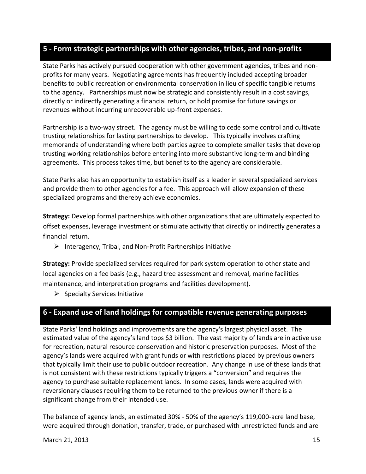### **5 - Form strategic partnerships with other agencies, tribes, and non-profits**

State Parks has actively pursued cooperation with other government agencies, tribes and nonprofits for many years. Negotiating agreements has frequently included accepting broader benefits to public recreation or environmental conservation in lieu of specific tangible returns to the agency. Partnerships must now be strategic and consistently result in a cost savings, directly or indirectly generating a financial return, or hold promise for future savings or revenues without incurring unrecoverable up-front expenses.

Partnership is a two-way street. The agency must be willing to cede some control and cultivate trusting relationships for lasting partnerships to develop. This typically involves crafting memoranda of understanding where both parties agree to complete smaller tasks that develop trusting working relationships before entering into more substantive long-term and binding agreements. This process takes time, but benefits to the agency are considerable.

State Parks also has an opportunity to establish itself as a leader in several specialized services and provide them to other agencies for a fee. This approach will allow expansion of these specialized programs and thereby achieve economies.

**Strategy:** Develop formal partnerships with other organizations that are ultimately expected to offset expenses, leverage investment or stimulate activity that directly or indirectly generates a financial return.

 $\triangleright$  Interagency, Tribal, and Non-Profit Partnerships Initiative

**Strategy:** Provide specialized services required for park system operation to other state and local agencies on a fee basis (e.g., hazard tree assessment and removal, marine facilities maintenance, and interpretation programs and facilities development).

 $\triangleright$  Specialty Services Initiative

### **6 - Expand use of land holdings for compatible revenue generating purposes**

State Parks' land holdings and improvements are the agency's largest physical asset. The estimated value of the agency's land tops \$3 billion. The vast majority of lands are in active use for recreation, natural resource conservation and historic preservation purposes. Most of the agency's lands were acquired with grant funds or with restrictions placed by previous owners that typically limit their use to public outdoor recreation. Any change in use of these lands that is not consistent with these restrictions typically triggers a "conversion" and requires the agency to purchase suitable replacement lands. In some cases, lands were acquired with reversionary clauses requiring them to be returned to the previous owner if there is a significant change from their intended use.

The balance of agency lands, an estimated 30% - 50% of the agency's 119,000-acre land base, were acquired through donation, transfer, trade, or purchased with unrestricted funds and are

March 21, 2013 15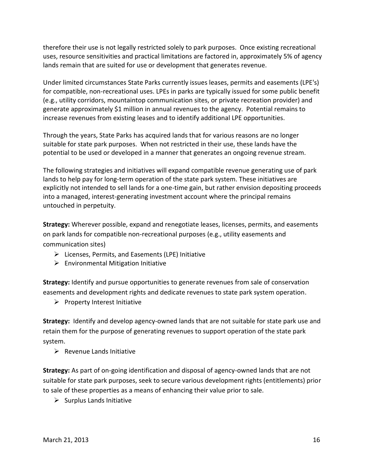therefore their use is not legally restricted solely to park purposes. Once existing recreational uses, resource sensitivities and practical limitations are factored in, approximately 5% of agency lands remain that are suited for use or development that generates revenue.

Under limited circumstances State Parks currently issues leases, permits and easements (LPE's) for compatible, non-recreational uses. LPEs in parks are typically issued for some public benefit (e.g., utility corridors, mountaintop communication sites, or private recreation provider) and generate approximately \$1 million in annual revenues to the agency. Potential remains to increase revenues from existing leases and to identify additional LPE opportunities.

Through the years, State Parks has acquired lands that for various reasons are no longer suitable for state park purposes. When not restricted in their use, these lands have the potential to be used or developed in a manner that generates an ongoing revenue stream.

The following strategies and initiatives will expand compatible revenue generating use of park lands to help pay for long-term operation of the state park system. These initiatives are explicitly not intended to sell lands for a one-time gain, but rather envision depositing proceeds into a managed, interest-generating investment account where the principal remains untouched in perpetuity.

**Strategy:** Wherever possible, expand and renegotiate leases, licenses, permits, and easements on park lands for compatible non-recreational purposes (e.g., utility easements and communication sites)

- $\triangleright$  Licenses, Permits, and Easements (LPE) Initiative
- $\triangleright$  Environmental Mitigation Initiative

**Strategy:** Identify and pursue opportunities to generate revenues from sale of conservation easements and development rights and dedicate revenues to state park system operation.

 $\triangleright$  Property Interest Initiative

**Strategy:** Identify and develop agency-owned lands that are not suitable for state park use and retain them for the purpose of generating revenues to support operation of the state park system.

 $\triangleright$  Revenue Lands Initiative

**Strategy:** As part of on-going identification and disposal of agency-owned lands that are not suitable for state park purposes, seek to secure various development rights (entitlements) prior to sale of these properties as a means of enhancing their value prior to sale.

 $\triangleright$  Surplus Lands Initiative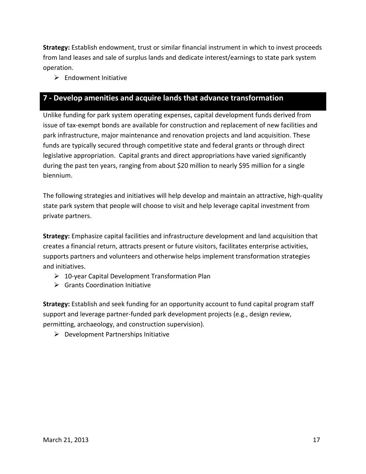**Strategy:** Establish endowment, trust or similar financial instrument in which to invest proceeds from land leases and sale of surplus lands and dedicate interest/earnings to state park system operation.

 $\triangleright$  Endowment Initiative

### **7 - Develop amenities and acquire lands that advance transformation**

Unlike funding for park system operating expenses, capital development funds derived from issue of tax-exempt bonds are available for construction and replacement of new facilities and park infrastructure, major maintenance and renovation projects and land acquisition. These funds are typically secured through competitive state and federal grants or through direct legislative appropriation. Capital grants and direct appropriations have varied significantly during the past ten years, ranging from about \$20 million to nearly \$95 million for a single biennium.

The following strategies and initiatives will help develop and maintain an attractive, high-quality state park system that people will choose to visit and help leverage capital investment from private partners.

**Strategy:** Emphasize capital facilities and infrastructure development and land acquisition that creates a financial return, attracts present or future visitors, facilitates enterprise activities, supports partners and volunteers and otherwise helps implement transformation strategies and initiatives.

- $\geq 10$ -year Capital Development Transformation Plan
- $\triangleright$  Grants Coordination Initiative

**Strategy:** Establish and seek funding for an opportunity account to fund capital program staff support and leverage partner-funded park development projects (e.g., design review, permitting, archaeology, and construction supervision).

 $\triangleright$  Development Partnerships Initiative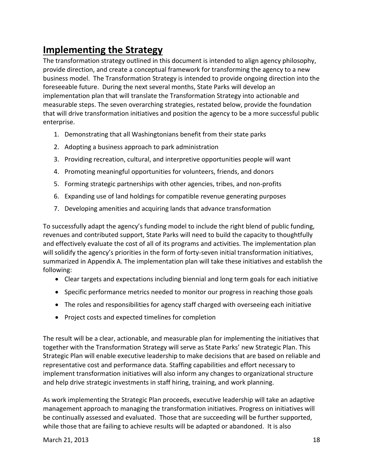# **Implementing the Strategy**

The transformation strategy outlined in this document is intended to align agency philosophy, provide direction, and create a conceptual framework for transforming the agency to a new business model. The Transformation Strategy is intended to provide ongoing direction into the foreseeable future. During the next several months, State Parks will develop an implementation plan that will translate the Transformation Strategy into actionable and measurable steps. The seven overarching strategies, restated below, provide the foundation that will drive transformation initiatives and position the agency to be a more successful public enterprise.

- 1. Demonstrating that all Washingtonians benefit from their state parks
- 2. Adopting a business approach to park administration
- 3. Providing recreation, cultural, and interpretive opportunities people will want
- 4. Promoting meaningful opportunities for volunteers, friends, and donors
- 5. Forming strategic partnerships with other agencies, tribes, and non-profits
- 6. Expanding use of land holdings for compatible revenue generating purposes
- 7. Developing amenities and acquiring lands that advance transformation

To successfully adapt the agency's funding model to include the right blend of public funding, revenues and contributed support, State Parks will need to build the capacity to thoughtfully and effectively evaluate the cost of all of its programs and activities. The implementation plan will solidify the agency's priorities in the form of forty-seven initial transformation initiatives, summarized in Appendix A. The implementation plan will take these initiatives and establish the following:

- Clear targets and expectations including biennial and long term goals for each initiative
- Specific performance metrics needed to monitor our progress in reaching those goals
- The roles and responsibilities for agency staff charged with overseeing each initiative
- Project costs and expected timelines for completion

The result will be a clear, actionable, and measurable plan for implementing the initiatives that together with the Transformation Strategy will serve as State Parks' new Strategic Plan. This Strategic Plan will enable executive leadership to make decisions that are based on reliable and representative cost and performance data. Staffing capabilities and effort necessary to implement transformation initiatives will also inform any changes to organizational structure and help drive strategic investments in staff hiring, training, and work planning.

As work implementing the Strategic Plan proceeds, executive leadership will take an adaptive management approach to managing the transformation initiatives. Progress on initiatives will be continually assessed and evaluated. Those that are succeeding will be further supported, while those that are failing to achieve results will be adapted or abandoned. It is also

March 21, 2013 18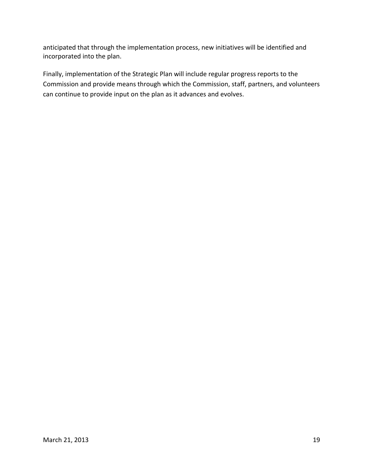anticipated that through the implementation process, new initiatives will be identified and incorporated into the plan.

Finally, implementation of the Strategic Plan will include regular progress reports to the Commission and provide means through which the Commission, staff, partners, and volunteers can continue to provide input on the plan as it advances and evolves.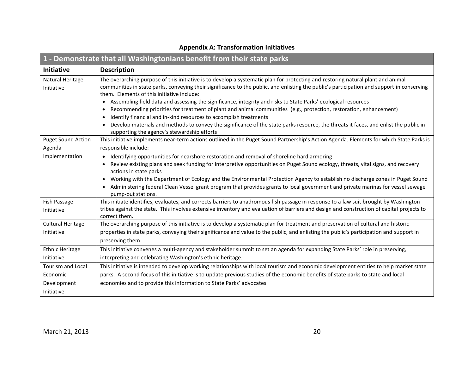| 1 - Demonstrate that all Washingtonians benefit from their state parks |                                                                                                                                                                                                  |
|------------------------------------------------------------------------|--------------------------------------------------------------------------------------------------------------------------------------------------------------------------------------------------|
| Initiative                                                             | <b>Description</b>                                                                                                                                                                               |
| Natural Heritage                                                       | The overarching purpose of this initiative is to develop a systematic plan for protecting and restoring natural plant and animal                                                                 |
| Initiative                                                             | communities in state parks, conveying their significance to the public, and enlisting the public's participation and support in conserving<br>them. Elements of this initiative include:         |
|                                                                        | • Assembling field data and assessing the significance, integrity and risks to State Parks' ecological resources                                                                                 |
|                                                                        | Recommending priorities for treatment of plant and animal communities (e.g., protection, restoration, enhancement)                                                                               |
|                                                                        | Identify financial and in-kind resources to accomplish treatments<br>$\bullet$                                                                                                                   |
|                                                                        | Develop materials and methods to convey the significance of the state parks resource, the threats it faces, and enlist the public in<br>$\bullet$<br>supporting the agency's stewardship efforts |
| <b>Puget Sound Action</b>                                              | This initiative implements near-term actions outlined in the Puget Sound Partnership's Action Agenda. Elements for which State Parks is                                                          |
| Agenda                                                                 | responsible include:                                                                                                                                                                             |
| Implementation                                                         | • Identifying opportunities for nearshore restoration and removal of shoreline hard armoring                                                                                                     |
|                                                                        | Review existing plans and seek funding for interpretive opportunities on Puget Sound ecology, threats, vital signs, and recovery<br>actions in state parks                                       |
|                                                                        | • Working with the Department of Ecology and the Environmental Protection Agency to establish no discharge zones in Puget Sound                                                                  |
|                                                                        | Administering federal Clean Vessel grant program that provides grants to local government and private marinas for vessel sewage<br>pump-out stations.                                            |
| Fish Passage                                                           | This initiate identifies, evaluates, and corrects barriers to anadromous fish passage in response to a law suit brought by Washington                                                            |
| Initiative                                                             | tribes against the state. This involves extensive inventory and evaluation of barriers and design and construction of capital projects to<br>correct them.                                       |
| <b>Cultural Heritage</b>                                               | The overarching purpose of this initiative is to develop a systematic plan for treatment and preservation of cultural and historic                                                               |
| Initiative                                                             | properties in state parks, conveying their significance and value to the public, and enlisting the public's participation and support in<br>preserving them.                                     |
| <b>Ethnic Heritage</b>                                                 | This initiative convenes a multi-agency and stakeholder summit to set an agenda for expanding State Parks' role in preserving,                                                                   |
| Initiative                                                             | interpreting and celebrating Washington's ethnic heritage.                                                                                                                                       |
| <b>Tourism and Local</b>                                               | This initiative is intended to develop working relationships with local tourism and economic development entities to help market state                                                           |
| Economic                                                               | parks. A second focus of this initiative is to update previous studies of the economic benefits of state parks to state and local                                                                |
| Development                                                            | economies and to provide this information to State Parks' advocates.                                                                                                                             |
| Initiative                                                             |                                                                                                                                                                                                  |

### **Appendix A: Transformation Initiatives**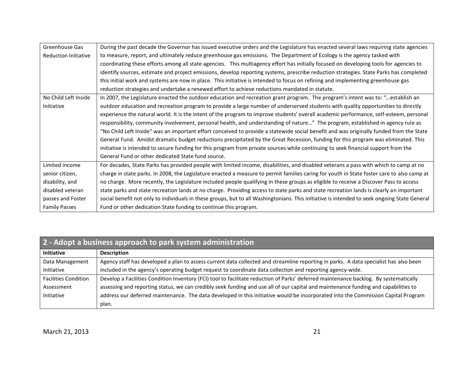| Greenhouse Gas              | During the past decade the Governor has issued executive orders and the Legislature has enacted several laws requiring state agencies        |
|-----------------------------|----------------------------------------------------------------------------------------------------------------------------------------------|
| <b>Reduction Initiative</b> | to measure, report, and ultimately reduce greenhouse gas emissions. The Department of Ecology is the agency tasked with                      |
|                             | coordinating these efforts among all state agencies. This multiagency effort has initially focused on developing tools for agencies to       |
|                             | identify sources, estimate and project emissions, develop reporting systems, prescribe reduction strategies. State Parks has completed       |
|                             | this initial work and systems are now in place. This initiative is intended to focus on refining and implementing greenhouse gas             |
|                             | reduction strategies and undertake a renewed effort to achieve reductions mandated in statute.                                               |
| No Child Left Inside        | In 2007, the Legislature enacted the outdoor education and recreation grant program. The program's intent was to: "establish an              |
| Initiative                  | outdoor education and recreation program to provide a large number of underserved students with quality opportunities to directly            |
|                             | experience the natural world. It is the intent of the program to improve students' overall academic performance, self-esteem, personal       |
|                             | responsibility, community involvement, personal health, and understanding of nature" The program, established in agency rule as              |
|                             | "No Child Left Inside" was an important effort conceived to provide a statewide social benefit and was originally funded from the State      |
|                             | General Fund. Amidst dramatic budget reductions precipitated by the Great Recession, funding for this program was eliminated. This           |
|                             | initiative is intended to secure funding for this program from private sources while continuing to seek financial support from the           |
|                             | General Fund or other dedicated State fund source.                                                                                           |
| Limited income              | For decades, State Parks has provided people with limited income, disabilities, and disabled veterans a pass with which to camp at no        |
| senior citizen,             | charge in state parks. In 2008, the Legislature enacted a measure to permit families caring for youth in State foster care to also camp at   |
| disability, and             | no charge. More recently, the Legislature included people qualifying in these groups as eligible to receive a Discover Pass to access        |
| disabled veteran            | state parks and state recreation lands at no charge. Providing access to state parks and state recreation lands is clearly an important      |
| passes and Foster           | social benefit not only to individuals in these groups, but to all Washingtonians. This initiative is intended to seek ongoing State General |
| <b>Family Passes</b>        | Fund or other dedication State funding to continue this program.                                                                             |

| 2 - Adopt a business approach to park system administration |                                                                                                                                       |
|-------------------------------------------------------------|---------------------------------------------------------------------------------------------------------------------------------------|
| <b>Initiative</b>                                           | <b>Description</b>                                                                                                                    |
| Data Management                                             | Agency staff has developed a plan to assess current data collected and streamline reporting in parks. A data specialist has also been |
| Initiative                                                  | included in the agency's operating budget request to coordinate data collection and reporting agency-wide.                            |
| <b>Facilities Condition</b>                                 | Develop a Facilities Condition Inventory (FCI) tool to facilitate reduction of Parks' deferred maintenance backlog. By systematically |
| Assessment                                                  | assessing and reporting status, we can credibly seek funding and use all of our capital and maintenance funding and capabilities to   |
| Initiative                                                  | address our deferred maintenance. The data developed in this initiative would be incorporated into the Commission Capital Program     |
|                                                             | plan.                                                                                                                                 |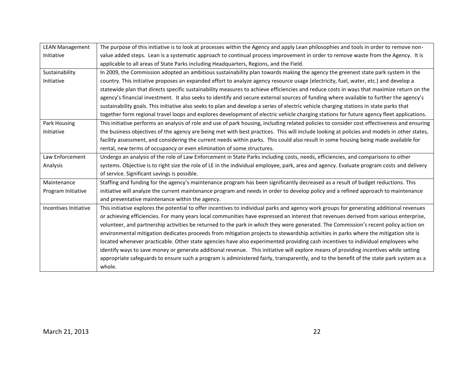| <b>LEAN Management</b> | The purpose of this initiative is to look at processes within the Agency and apply Lean philosophies and tools in order to remove non-       |
|------------------------|----------------------------------------------------------------------------------------------------------------------------------------------|
| Initiative             | value added steps. Lean is a systematic approach to continual process improvement in order to remove waste from the Agency. It is            |
|                        | applicable to all areas of State Parks including Headquarters, Regions, and the Field.                                                       |
| Sustainability         | In 2009, the Commission adopted an ambitious sustainability plan towards making the agency the greenest state park system in the             |
| Initiative             | country. This initiative proposes an expanded effort to analyze agency resource usage (electricity, fuel, water, etc.) and develop a         |
|                        | statewide plan that directs specific sustainability measures to achieve efficiencies and reduce costs in ways that maximize return on the    |
|                        | agency's financial investment. It also seeks to identify and secure external sources of funding where available to further the agency's      |
|                        | sustainability goals. This initiative also seeks to plan and develop a series of electric vehicle charging stations in state parks that      |
|                        | together form regional travel loops and explores development of electric vehicle charging stations for future agency fleet applications.     |
| Park Housing           | This initiative performs an analysis of role and use of park housing, including related policies to consider cost effectiveness and ensuring |
| Initiative             | the business objectives of the agency are being met with best practices. This will include looking at policies and models in other states,   |
|                        | facility assessment, and considering the current needs within parks. This could also result in some housing being made available for         |
|                        | rental, new terms of occupancy or even elimination of some structures.                                                                       |
| Law Enforcement        | Undergo an analysis of the role of Law Enforcement in State Parks including costs, needs, efficiencies, and comparisons to other             |
| Analysis               | systems. Objective is to right size the role of LE in the individual employee, park, area and agency. Evaluate program costs and delivery    |
|                        | of service. Significant savings is possible.                                                                                                 |
| Maintenance            | Staffing and funding for the agency's maintenance program has been significantly decreased as a result of budget reductions. This            |
| Program Initiative     | initiative will analyze the current maintenance program and needs in order to develop policy and a refined approach to maintenance           |
|                        | and preventative maintenance within the agency.                                                                                              |
| Incentives Initiative  | This initiative explores the potential to offer incentives to individual parks and agency work groups for generating additional revenues     |
|                        | or achieving efficiencies. For many years local communities have expressed an interest that revenues derived from various enterprise,        |
|                        | volunteer, and partnership activities be returned to the park in which they were generated. The Commission's recent policy action on         |
|                        | environmental mitigation dedicates proceeds from mitigation projects to stewardship activities in parks where the mitigation site is         |
|                        | located whenever practicable. Other state agencies have also experimented providing cash incentives to individual employees who              |
|                        | identify ways to save money or generate additional revenue. This initiative will explore means of providing incentives while setting         |
|                        | appropriate safeguards to ensure such a program is administered fairly, transparently, and to the benefit of the state park system as a      |
|                        | whole.                                                                                                                                       |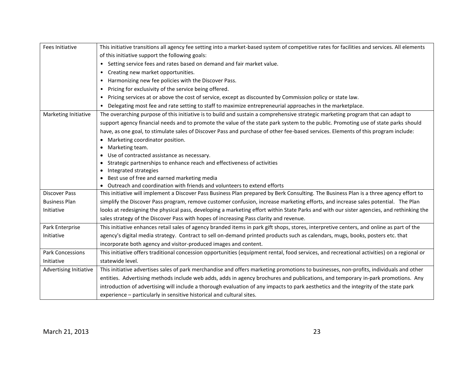| <b>Fees Initiative</b> | This initiative transitions all agency fee setting into a market-based system of competitive rates for facilities and services. All elements |
|------------------------|----------------------------------------------------------------------------------------------------------------------------------------------|
|                        | of this initiative support the following goals:                                                                                              |
|                        | Setting service fees and rates based on demand and fair market value.<br>$\bullet$                                                           |
|                        | Creating new market opportunities.<br>$\bullet$                                                                                              |
|                        | Harmonizing new fee policies with the Discover Pass.                                                                                         |
|                        | Pricing for exclusivity of the service being offered.<br>$\bullet$                                                                           |
|                        | Pricing services at or above the cost of service, except as discounted by Commission policy or state law.                                    |
|                        | Delegating most fee and rate setting to staff to maximize entrepreneurial approaches in the marketplace.                                     |
| Marketing Initiative   | The overarching purpose of this initiative is to build and sustain a comprehensive strategic marketing program that can adapt to             |
|                        | support agency financial needs and to promote the value of the state park system to the public. Promoting use of state parks should          |
|                        | have, as one goal, to stimulate sales of Discover Pass and purchase of other fee-based services. Elements of this program include:           |
|                        | • Marketing coordinator position.                                                                                                            |
|                        | Marketing team.<br>$\bullet$                                                                                                                 |
|                        | Use of contracted assistance as necessary.<br>$\bullet$                                                                                      |
|                        | Strategic partnerships to enhance reach and effectiveness of activities                                                                      |
|                        | Integrated strategies                                                                                                                        |
|                        | Best use of free and earned marketing media                                                                                                  |
|                        | Outreach and coordination with friends and volunteers to extend efforts                                                                      |
| <b>Discover Pass</b>   | This initiative will implement a Discover Pass Business Plan prepared by Berk Consulting. The Business Plan is a three agency effort to      |
| <b>Business Plan</b>   | simplify the Discover Pass program, remove customer confusion, increase marketing efforts, and increase sales potential. The Plan            |
| Initiative             | looks at redesigning the physical pass, developing a marketing effort within State Parks and with our sister agencies, and rethinking the    |
|                        | sales strategy of the Discover Pass with hopes of increasing Pass clarity and revenue.                                                       |
| Park Enterprise        | This initiative enhances retail sales of agency branded items in park gift shops, stores, interpretive centers, and online as part of the    |
| Initiative             | agency's digital media strategy. Contract to sell on-demand printed products such as calendars, mugs, books, posters etc. that               |
|                        | incorporate both agency and visitor-produced images and content.                                                                             |
| Park Concessions       | This initiative offers traditional concession opportunities (equipment rental, food services, and recreational activities) on a regional or  |
| Initiative             | statewide level.                                                                                                                             |
| Advertising Initiative | This initiative advertises sales of park merchandise and offers marketing promotions to businesses, non-profits, individuals and other       |
|                        | entities. Advertising methods include web adds, adds in agency brochures and publications, and temporary in-park promotions. Any             |
|                        | introduction of advertising will include a thorough evaluation of any impacts to park aesthetics and the integrity of the state park         |
|                        | experience - particularly in sensitive historical and cultural sites.                                                                        |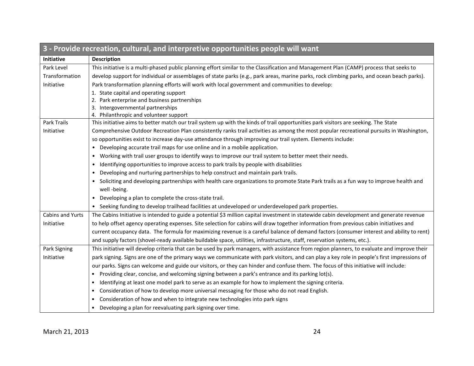| 3 - Provide recreation, cultural, and interpretive opportunities people will want |                                                                                                                                                    |
|-----------------------------------------------------------------------------------|----------------------------------------------------------------------------------------------------------------------------------------------------|
| <b>Initiative</b>                                                                 | <b>Description</b>                                                                                                                                 |
| Park Level                                                                        | This initiative is a multi-phased public planning effort similar to the Classification and Management Plan (CAMP) process that seeks to            |
| Transformation                                                                    | develop support for individual or assemblages of state parks (e.g., park areas, marine parks, rock climbing parks, and ocean beach parks).         |
| Initiative                                                                        | Park transformation planning efforts will work with local government and communities to develop:                                                   |
|                                                                                   | 1. State capital and operating support                                                                                                             |
|                                                                                   | 2. Park enterprise and business partnerships                                                                                                       |
|                                                                                   | 3. Intergovernmental partnerships                                                                                                                  |
|                                                                                   | 4. Philanthropic and volunteer support                                                                                                             |
| Park Trails                                                                       | This initiative aims to better match our trail system up with the kinds of trail opportunities park visitors are seeking. The State                |
| Initiative                                                                        | Comprehensive Outdoor Recreation Plan consistently ranks trail activities as among the most popular recreational pursuits in Washington,           |
|                                                                                   | so opportunities exist to increase day-use attendance through improving our trail system. Elements include:                                        |
|                                                                                   | Developing accurate trail maps for use online and in a mobile application.<br>$\bullet$                                                            |
|                                                                                   | Working with trail user groups to identify ways to improve our trail system to better meet their needs.<br>$\bullet$                               |
|                                                                                   | Identifying opportunities to improve access to park trails by people with disabilities<br>$\bullet$                                                |
|                                                                                   | Developing and nurturing partnerships to help construct and maintain park trails.<br>$\bullet$                                                     |
|                                                                                   | Soliciting and developing partnerships with health care organizations to promote State Park trails as a fun way to improve health and<br>$\bullet$ |
|                                                                                   | well -being.                                                                                                                                       |
|                                                                                   | Developing a plan to complete the cross-state trail.<br>$\bullet$                                                                                  |
|                                                                                   | • Seeking funding to develop trailhead facilities at undeveloped or underdeveloped park properties.                                                |
| Cabins and Yurts                                                                  | The Cabins Initiative is intended to guide a potential \$3 million capital investment in statewide cabin development and generate revenue          |
| Initiative                                                                        | to help offset agency operating expenses. Site selection for cabins will draw together information from previous cabin initiatives and             |
|                                                                                   | current occupancy data. The formula for maximizing revenue is a careful balance of demand factors (consumer interest and ability to rent)          |
|                                                                                   | and supply factors (shovel-ready available buildable space, utilities, infrastructure, staff, reservation systems, etc.).                          |
| Park Signing                                                                      | This initiative will develop criteria that can be used by park managers, with assistance from region planners, to evaluate and improve their       |
| Initiative                                                                        | park signing. Signs are one of the primary ways we communicate with park visitors, and can play a key role in people's first impressions of        |
|                                                                                   | our parks. Signs can welcome and guide our visitors, or they can hinder and confuse them. The focus of this initiative will include:               |
|                                                                                   | Providing clear, concise, and welcoming signing between a park's entrance and its parking lot(s).<br>$\bullet$                                     |
|                                                                                   | Identifying at least one model park to serve as an example for how to implement the signing criteria.<br>$\bullet$                                 |
|                                                                                   | Consideration of how to develop more universal messaging for those who do not read English.<br>$\bullet$                                           |
|                                                                                   |                                                                                                                                                    |
|                                                                                   | Developing a plan for reevaluating park signing over time.                                                                                         |
|                                                                                   | Consideration of how and when to integrate new technologies into park signs                                                                        |

**Service**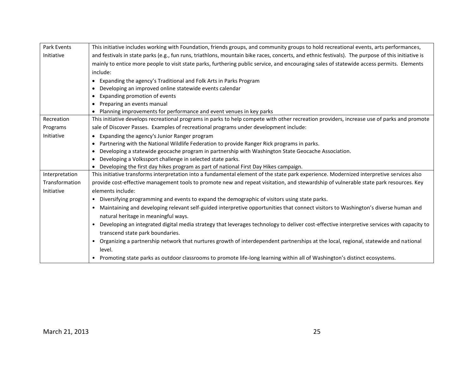| Park Events    | This initiative includes working with Foundation, friends groups, and community groups to hold recreational events, arts performances,                  |
|----------------|---------------------------------------------------------------------------------------------------------------------------------------------------------|
| Initiative     | and festivals in state parks (e.g., fun runs, triathlons, mountain bike races, concerts, and ethnic festivals). The purpose of this initiative is       |
|                | mainly to entice more people to visit state parks, furthering public service, and encouraging sales of statewide access permits. Elements               |
|                | include:                                                                                                                                                |
|                | • Expanding the agency's Traditional and Folk Arts in Parks Program                                                                                     |
|                | Developing an improved online statewide events calendar                                                                                                 |
|                | Expanding promotion of events                                                                                                                           |
|                | Preparing an events manual                                                                                                                              |
|                | • Planning improvements for performance and event venues in key parks                                                                                   |
| Recreation     | This initiative develops recreational programs in parks to help compete with other recreation providers, increase use of parks and promote              |
| Programs       | sale of Discover Passes. Examples of recreational programs under development include:                                                                   |
| Initiative     | • Expanding the agency's Junior Ranger program                                                                                                          |
|                | • Partnering with the National Wildlife Federation to provide Ranger Rick programs in parks.                                                            |
|                | Developing a statewide geocache program in partnership with Washington State Geocache Association.                                                      |
|                | Developing a Volkssport challenge in selected state parks.                                                                                              |
|                | • Developing the first day hikes program as part of national First Day Hikes campaign.                                                                  |
| Interpretation | This initiative transforms interpretation into a fundamental element of the state park experience. Modernized interpretive services also                |
| Transformation | provide cost-effective management tools to promote new and repeat visitation, and stewardship of vulnerable state park resources. Key                   |
| Initiative     | elements include:                                                                                                                                       |
|                | • Diversifying programming and events to expand the demographic of visitors using state parks.                                                          |
|                | Maintaining and developing relevant self-guided interpretive opportunities that connect visitors to Washington's diverse human and<br>$\bullet$         |
|                | natural heritage in meaningful ways.                                                                                                                    |
|                | Developing an integrated digital media strategy that leverages technology to deliver cost-effective interpretive services with capacity to<br>$\bullet$ |
|                | transcend state park boundaries.                                                                                                                        |
|                | Organizing a partnership network that nurtures growth of interdependent partnerships at the local, regional, statewide and national<br>$\bullet$        |
|                | level.                                                                                                                                                  |
|                | • Promoting state parks as outdoor classrooms to promote life-long learning within all of Washington's distinct ecosystems.                             |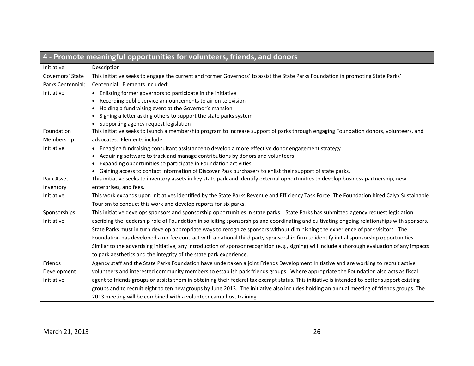| 4 - Promote meaningful opportunities for volunteers, friends, and donors |                                                                                                                                                  |
|--------------------------------------------------------------------------|--------------------------------------------------------------------------------------------------------------------------------------------------|
| Initiative                                                               | Description                                                                                                                                      |
| Governors' State                                                         | This initiative seeks to engage the current and former Governors' to assist the State Parks Foundation in promoting State Parks'                 |
| Parks Centennial;                                                        | Centennial. Elements included:                                                                                                                   |
| Initiative                                                               | • Enlisting former governors to participate in the initiative                                                                                    |
|                                                                          | Recording public service announcements to air on television                                                                                      |
|                                                                          | Holding a fundraising event at the Governor's mansion                                                                                            |
|                                                                          | Signing a letter asking others to support the state parks system                                                                                 |
|                                                                          | • Supporting agency request legislation                                                                                                          |
| Foundation                                                               | This initiative seeks to launch a membership program to increase support of parks through engaging Foundation donors, volunteers, and            |
| Membership                                                               | advocates. Elements include:                                                                                                                     |
| Initiative                                                               | Engaging fundraising consultant assistance to develop a more effective donor engagement strategy                                                 |
|                                                                          | Acquiring software to track and manage contributions by donors and volunteers                                                                    |
|                                                                          | Expanding opportunities to participate in Foundation activities                                                                                  |
| Park Asset                                                               | • Gaining access to contact information of Discover Pass purchasers to enlist their support of state parks.                                      |
|                                                                          | This initiative seeks to inventory assets in key state park and identify external opportunities to develop business partnership, new             |
| Inventory                                                                | enterprises, and fees.                                                                                                                           |
| Initiative                                                               | This work expands upon initiatives identified by the State Parks Revenue and Efficiency Task Force. The Foundation hired Calyx Sustainable       |
|                                                                          | Tourism to conduct this work and develop reports for six parks.                                                                                  |
| Sponsorships                                                             | This initiative develops sponsors and sponsorship opportunities in state parks. State Parks has submitted agency request legislation             |
| Initiative                                                               | ascribing the leadership role of Foundation in soliciting sponsorships and coordinating and cultivating ongoing relationships with sponsors.     |
|                                                                          | State Parks must in turn develop appropriate ways to recognize sponsors without diminishing the experience of park visitors. The                 |
|                                                                          | Foundation has developed a no-fee contract with a national third party sponsorship firm to identify initial sponsorship opportunities.           |
|                                                                          | Similar to the advertising initiative, any introduction of sponsor recognition (e.g., signing) will include a thorough evaluation of any impacts |
|                                                                          | to park aesthetics and the integrity of the state park experience.                                                                               |
| Friends                                                                  | Agency staff and the State Parks Foundation have undertaken a joint Friends Development Initiative and are working to recruit active             |
| Development                                                              | volunteers and interested community members to establish park friends groups. Where appropriate the Foundation also acts as fiscal               |
| Initiative                                                               | agent to friends groups or assists them in obtaining their federal tax exempt status. This initiative is intended to better support existing     |
|                                                                          | groups and to recruit eight to ten new groups by June 2013. The initiative also includes holding an annual meeting of friends groups. The        |
|                                                                          | 2013 meeting will be combined with a volunteer camp host training                                                                                |
|                                                                          |                                                                                                                                                  |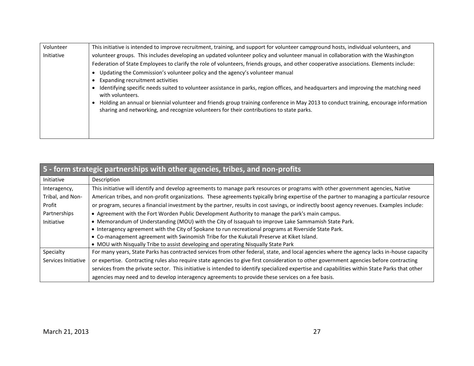| Volunteer  | This initiative is intended to improve recruitment, training, and support for volunteer campground hosts, individual volunteers, and                                                                                             |
|------------|----------------------------------------------------------------------------------------------------------------------------------------------------------------------------------------------------------------------------------|
| Initiative | volunteer groups. This includes developing an updated volunteer policy and volunteer manual in collaboration with the Washington                                                                                                 |
|            | Federation of State Employees to clarify the role of volunteers, friends groups, and other cooperative associations. Elements include:                                                                                           |
|            | Updating the Commission's volunteer policy and the agency's volunteer manual                                                                                                                                                     |
|            | Expanding recruitment activities                                                                                                                                                                                                 |
|            | Identifying specific needs suited to volunteer assistance in parks, region offices, and headquarters and improving the matching need<br>with volunteers.                                                                         |
|            | Holding an annual or biennial volunteer and friends group training conference in May 2013 to conduct training, encourage information<br>sharing and networking, and recognize volunteers for their contributions to state parks. |
|            |                                                                                                                                                                                                                                  |
|            |                                                                                                                                                                                                                                  |
|            |                                                                                                                                                                                                                                  |

| 5 - form strategic partnerships with other agencies, tribes, and non-profits |                                                                                                                                                |
|------------------------------------------------------------------------------|------------------------------------------------------------------------------------------------------------------------------------------------|
| Initiative                                                                   | Description                                                                                                                                    |
| Interagency,                                                                 | This initiative will identify and develop agreements to manage park resources or programs with other government agencies, Native               |
| Tribal, and Non-                                                             | American tribes, and non-profit organizations. These agreements typically bring expertise of the partner to managing a particular resource     |
| Profit                                                                       | or program, secures a financial investment by the partner, results in cost savings, or indirectly boost agency revenues. Examples include:     |
| Partnerships                                                                 | • Agreement with the Fort Worden Public Development Authority to manage the park's main campus.                                                |
| Initiative                                                                   | • Memorandum of Understanding (MOU) with the City of Issaquah to improve Lake Sammamish State Park.                                            |
|                                                                              | • Interagency agreement with the City of Spokane to run recreational programs at Riverside State Park.                                         |
|                                                                              | • Co-management agreement with Swinomish Tribe for the Kukutali Preserve at Kiket Island.                                                      |
|                                                                              | • MOU with Nisqually Tribe to assist developing and operating Nisqually State Park                                                             |
| Specialty                                                                    | For many years, State Parks has contracted services from other federal, state, and local agencies where the agency lacks in-house capacity     |
| Services Initiative                                                          | or expertise. Contracting rules also require state agencies to give first consideration to other government agencies before contracting        |
|                                                                              | services from the private sector. This initiative is intended to identify specialized expertise and capabilities within State Parks that other |
|                                                                              | agencies may need and to develop interagency agreements to provide these services on a fee basis.                                              |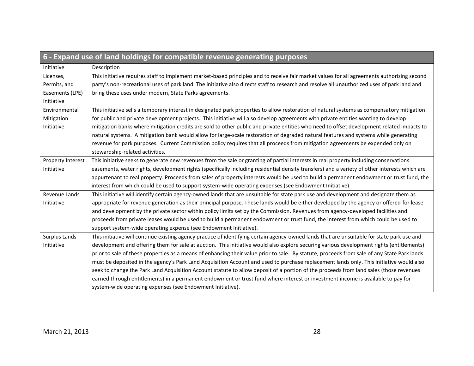| 6 - Expand use of land holdings for compatible revenue generating purposes |                                                                                                                                               |
|----------------------------------------------------------------------------|-----------------------------------------------------------------------------------------------------------------------------------------------|
| Initiative                                                                 | Description                                                                                                                                   |
| Licenses,                                                                  | This initiative requires staff to implement market-based principles and to receive fair market values for all agreements authorizing second   |
| Permits, and                                                               | party's non-recreational uses of park land. The initiative also directs staff to research and resolve all unauthorized uses of park land and  |
| Easements (LPE)                                                            | bring these uses under modern, State Parks agreements.                                                                                        |
| Initiative                                                                 |                                                                                                                                               |
| Environmental                                                              | This initiative sells a temporary interest in designated park properties to allow restoration of natural systems as compensatory mitigation   |
| Mitigation                                                                 | for public and private development projects. This initiative will also develop agreements with private entities wanting to develop            |
| Initiative                                                                 | mitigation banks where mitigation credits are sold to other public and private entities who need to offset development related impacts to     |
|                                                                            | natural systems. A mitigation bank would allow for large-scale restoration of degraded natural features and systems while generating          |
|                                                                            | revenue for park purposes. Current Commission policy requires that all proceeds from mitigation agreements be expended only on                |
|                                                                            | stewardship-related activities.                                                                                                               |
| Property Interest                                                          | This initiative seeks to generate new revenues from the sale or granting of partial interests in real property including conservations        |
| Initiative                                                                 | easements, water rights, development rights (specifically including residential density transfers) and a variety of other interests which are |
|                                                                            | appurtenant to real property. Proceeds from sales of property interests would be used to build a permanent endowment or trust fund, the       |
|                                                                            | interest from which could be used to support system-wide operating expenses (see Endowment Initiative).                                       |
| Revenue Lands                                                              | This initiative will identify certain agency-owned lands that are unsuitable for state park use and development and designate them as         |
| Initiative                                                                 | appropriate for revenue generation as their principal purpose. These lands would be either developed by the agency or offered for lease       |
|                                                                            | and development by the private sector within policy limits set by the Commission. Revenues from agency-developed facilities and               |
|                                                                            | proceeds from private leases would be used to build a permanent endowment or trust fund, the interest from which could be used to             |
|                                                                            | support system-wide operating expense (see Endowment Initiative).                                                                             |
| Surplus Lands                                                              | This initiative will continue existing agency practice of identifying certain agency-owned lands that are unsuitable for state park use and   |
| Initiative                                                                 | development and offering them for sale at auction. This initiative would also explore securing various development rights (entitlements)      |
|                                                                            | prior to sale of these properties as a means of enhancing their value prior to sale. By statute, proceeds from sale of any State Park lands   |
|                                                                            | must be deposited in the agency's Park Land Acquisition Account and used to purchase replacement lands only. This initiative would also       |
|                                                                            | seek to change the Park Land Acquisition Account statute to allow deposit of a portion of the proceeds from land sales (those revenues        |
|                                                                            | earned through entitlements) in a permanent endowment or trust fund where interest or investment income is available to pay for               |
|                                                                            | system-wide operating expenses (see Endowment Initiative).                                                                                    |